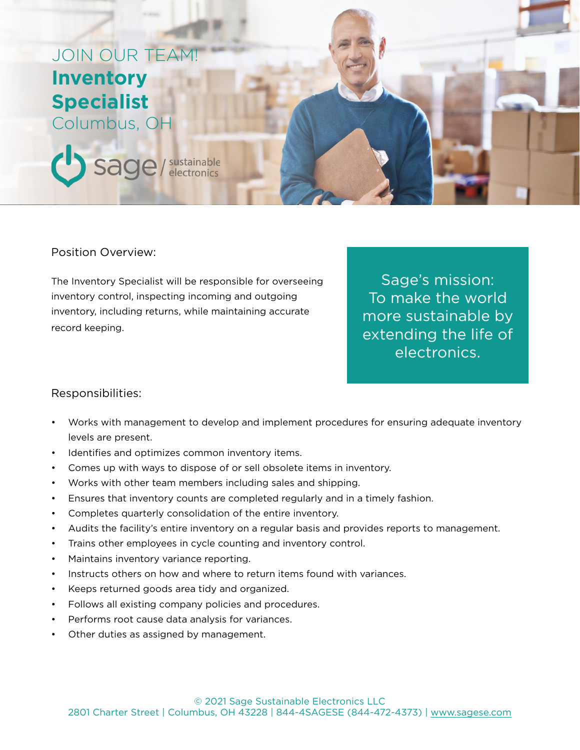# JOIN OUR TEAM! **Inventory Specialist**

Columbus, OH

Sage / sustainable

Position Overview:

The Inventory Specialist will be responsible for overseeing inventory control, inspecting incoming and outgoing inventory, including returns, while maintaining accurate record keeping.

Sage's mission: To make the world more sustainable by extending the life of electronics.

#### Responsibilities:

- Works with management to develop and implement procedures for ensuring adequate inventory levels are present.
- Identifies and optimizes common inventory items.
- Comes up with ways to dispose of or sell obsolete items in inventory.
- Works with other team members including sales and shipping.
- Ensures that inventory counts are completed regularly and in a timely fashion.
- Completes quarterly consolidation of the entire inventory.
- Audits the facility's entire inventory on a regular basis and provides reports to management.
- Trains other employees in cycle counting and inventory control.
- Maintains inventory variance reporting.
- Instructs others on how and where to return items found with variances.
- Keeps returned goods area tidy and organized.
- Follows all existing company policies and procedures.
- Performs root cause data analysis for variances.
- Other duties as assigned by management.